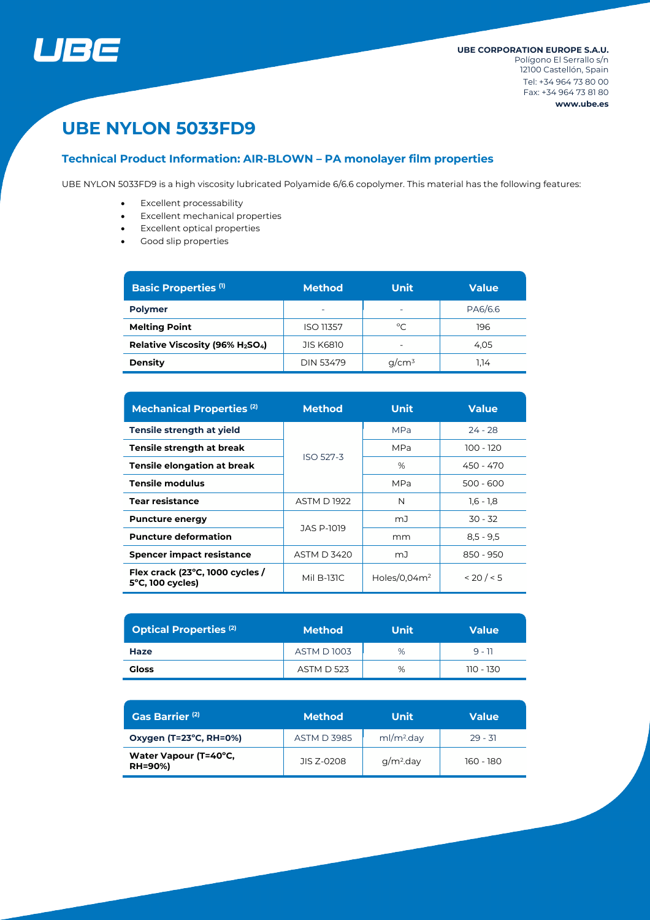

# **UBE NYLON 5033FD9**

# **Technical Product Information: AIR-BLOWN – PA monolayer film properties**

UBE NYLON 5033FD9 is a high viscosity lubricated Polyamide 6/6.6 copolymer. This material has the following features:

- Excellent processability
- Excellent mechanical properties
- Excellent optical properties
- Good slip properties

| <b>Basic Properties (1)</b>    | <b>Method</b>    | Unit                     | <b>Value</b> |  |
|--------------------------------|------------------|--------------------------|--------------|--|
| <b>Polymer</b>                 | -                | $\overline{\phantom{0}}$ | PA6/6.6      |  |
| <b>Melting Point</b>           | <b>ISO 11357</b> | $^{\circ}$ C             | 196          |  |
| Relative Viscosity (96% H2SO4) | <b>JIS K6810</b> | $\overline{\phantom{0}}$ | 4.05         |  |
| <b>Density</b>                 | DIN 53479        | $q/cm^3$                 | 1.14         |  |

| <b>Mechanical Properties (2)</b>                              | <b>Method</b>      | Unit            | <b>Value</b> |  |
|---------------------------------------------------------------|--------------------|-----------------|--------------|--|
| Tensile strength at yield                                     |                    | <b>MPa</b>      | $24 - 28$    |  |
| Tensile strength at break                                     | <b>ISO 527-3</b>   | <b>MPa</b>      | 100 - 120    |  |
| Tensile elongation at break                                   |                    | %               | 450 - 470    |  |
| Tensile modulus                                               |                    | MPa             | $500 - 600$  |  |
| <b>Tear resistance</b>                                        | <b>ASTM D 1922</b> | N               | $1,6 - 1,8$  |  |
| <b>Puncture energy</b>                                        | JAS P-1019         | mJ              | $30 - 32$    |  |
| <b>Puncture deformation</b>                                   |                    | mm              | $8.5 - 9.5$  |  |
| <b>Spencer impact resistance</b>                              | <b>ASTM D 3420</b> | mJ              | 850 - 950    |  |
| Flex crack (23°C, 1000 cycles /<br>$5^{\circ}$ C, 100 cycles) | Mil B-131C         | Holes/0.04 $m2$ | < 20 / < 5   |  |

| <b>Optical Properties (2)</b> | <b>Method</b>     | <b>Unit</b> | <b>Value</b> |  |
|-------------------------------|-------------------|-------------|--------------|--|
| Haze                          | <b>ASTM D1003</b> | %           | $9 - 11$     |  |
| <b>Gloss</b>                  | <b>ASTM D 523</b> | %           | 110 - 130    |  |

| Gas Barrier <sup>(2)</sup>              | 'Method            | Unit                   | <b>Value</b> |
|-----------------------------------------|--------------------|------------------------|--------------|
| Oxygen (T=23°C, RH=0%)                  | <b>ASTM D 3985</b> | ml/m <sup>2</sup> .day | $29 - 31$    |
| Water Vapour (T=40°C,<br><b>RH=90%)</b> | JIS 7-0208         | $q/m2$ .day            | 160 - 180    |